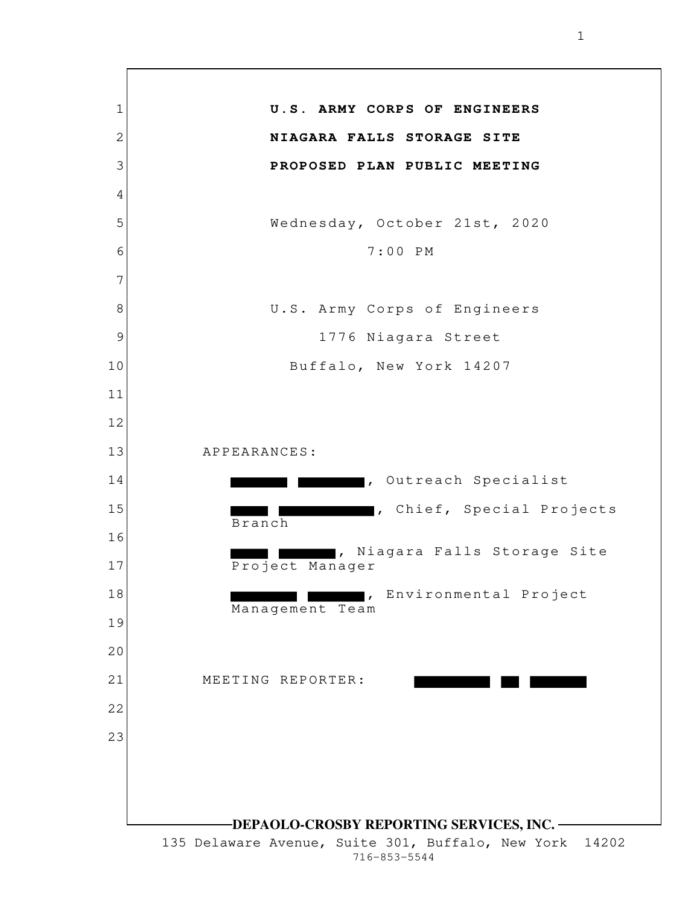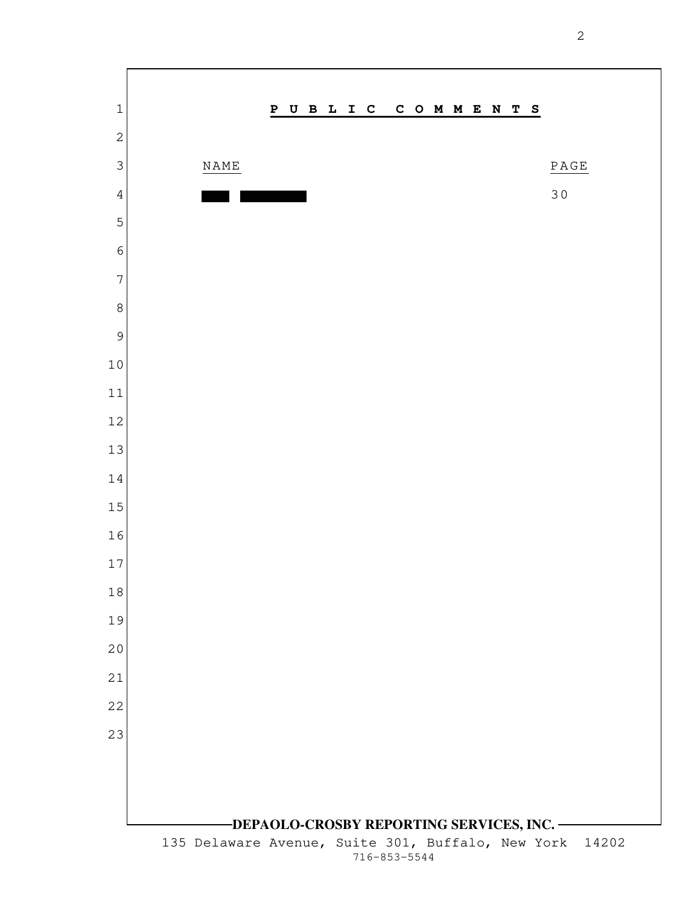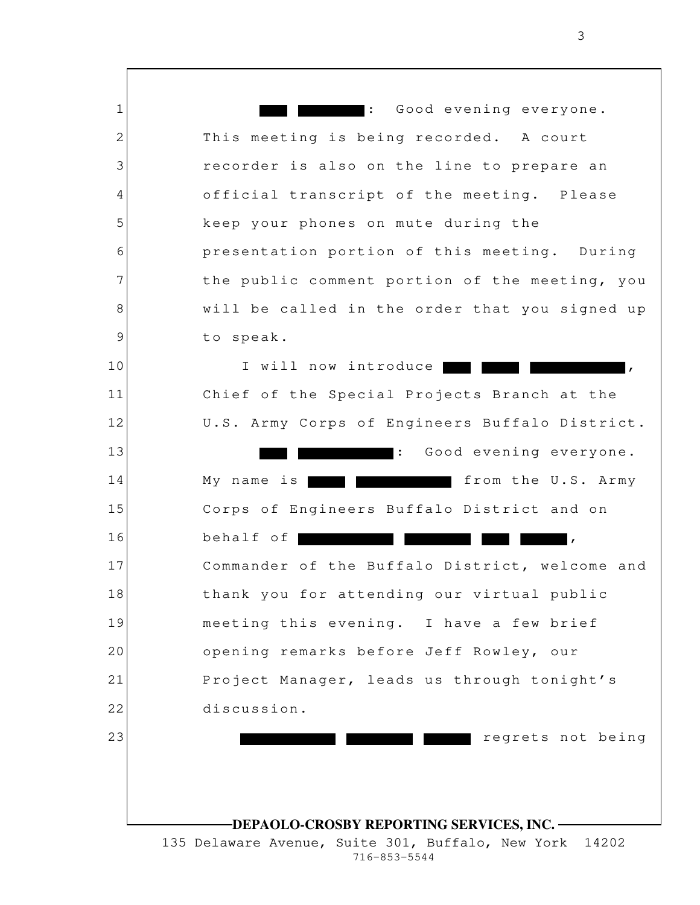1 2 3 4 5 6 7 8 9 10 11 12 13 14 15 16 17 18 19 20 21 22 23 **DEPAOLO-CROSBY REPORTING SERVICES, INC.** 135 Delaware Avenue, Suite 301, Buffalo, New York 14202 716-853-5544 : Good evening everyone. This meeting is being recorded. A court recorder is also on the line to prepare an official transcript of the meeting. Please keep your phones on mute during the presentation portion of this meeting. During the public comment portion of the meeting, you will be called in the order that you signed up to speak. I will now introduce | Chief of the Special Projects Branch at the U.S. Army Corps of Engineers Buffalo District. : Good evening everyone. My name is **the U.S. Army** from the U.S. Army Corps of Engineers Buffalo District and on behalf of  $\blacksquare$ , Commander of the Buffalo District, welcome and thank you for attending our virtual public meeting this evening. I have a few brief opening remarks before Jeff Rowley, our Project Manager, leads us through tonight's discussion. regrets not being

3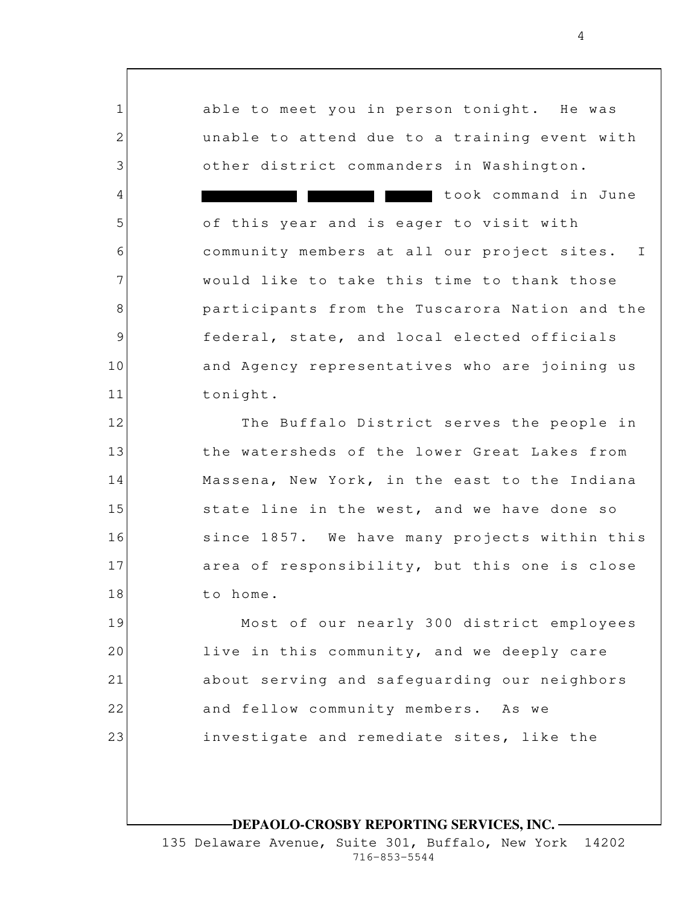1 2 3 4 5 6 7 8 9 10 11 12 13 14 15 16 17 18 19 20 21 22 23 able to meet you in person tonight. He was unable to attend due to a training event with other district commanders in Washington. took command in June of this year and is eager to visit with community members at all our project sites. I would like to take this time to thank those participants from the Tuscarora Nation and the federal, state, and local elected officials and Agency representatives who are joining us tonight. The Buffalo District serves the people in the watersheds of the lower Great Lakes from Massena, New York, in the east to the Indiana state line in the west, and we have done so since 1857. We have many projects within this area of responsibility, but this one is close to home. Most of our nearly 300 district employees live in this community, and we deeply care about serving and safeguarding our neighbors and fellow community members. As we investigate and remediate sites, like the

**DEPAOLO-CROSBY REPORTING SERVICES, INC.**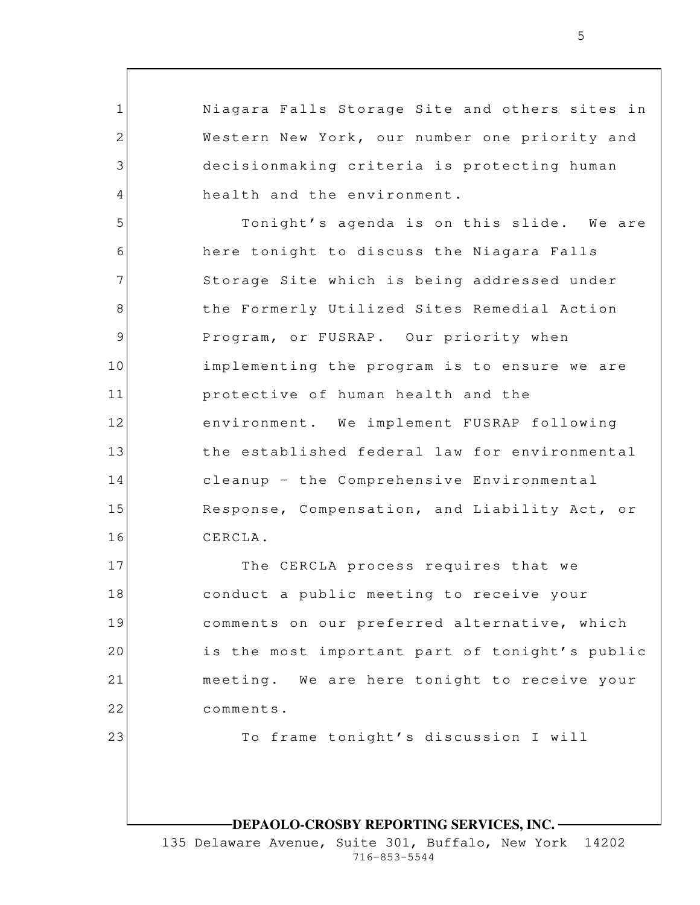Niagara Falls Storage Site and others sites in Western New York, our number one priority and decisionmaking criteria is protecting human health and the environment.

1

2

3

4

23

5 6 7 8 9 10 11 12 13 14 15 16 Tonight's agenda is on this slide. We are here tonight to discuss the Niagara Falls Storage Site which is being addressed under the Formerly Utilized Sites Remedial Action Program, or FUSRAP. Our priority when implementing the program is to ensure we are protective of human health and the environment. We implement FUSRAP following the established federal law for environmental cleanup – the Comprehensive Environmental Response, Compensation, and Liability Act, or CERCLA.

17 18 19 20 21 22 The CERCLA process requires that we conduct a public meeting to receive your comments on our preferred alternative, which is the most important part of tonight's public meeting. We are here tonight to receive your comments.

To frame tonight's discussion I will

## **DEPAOLO-CROSBY REPORTING SERVICES, INC.**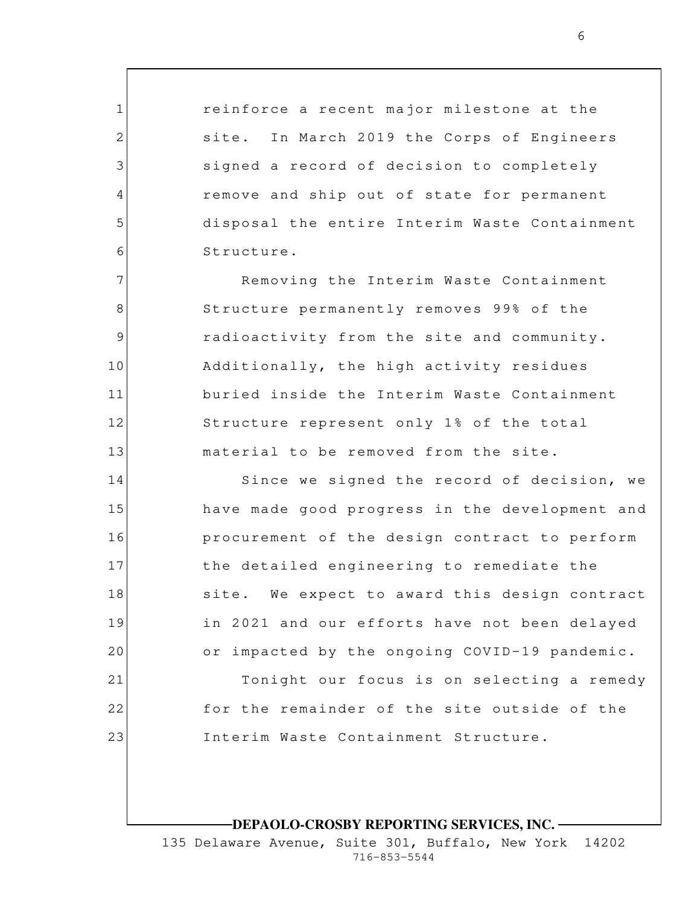reinforce a recent major milestone at the site. In March 2019 the Corps of Engineers signed a record of decision to completely remove and ship out of state for permanent disposal the entire Interim Waste Containment Structure.

1

2

3

4

5

6

7

8

9

10

11

12

13

Removing the Interim Waste Containment Structure permanently removes 99% of the radioactivity from the site and community. Additionally, the high activity residues buried inside the Interim Waste Containment Structure represent only 1% of the total material to be removed from the site.

14 15 16 17 18 19 20 21 22 23 Since we signed the record of decision, we have made good progress in the development and procurement of the design contract to perform the detailed engineering to remediate the site. We expect to award this design contract in 2021 and our efforts have not been delayed or impacted by the ongoing COVID-19 pandemic. Tonight our focus is on selecting a remedy for the remainder of the site outside of the Interim Waste Containment Structure.

**DEPAOLO-CROSBY REPORTING SERVICES, INC.**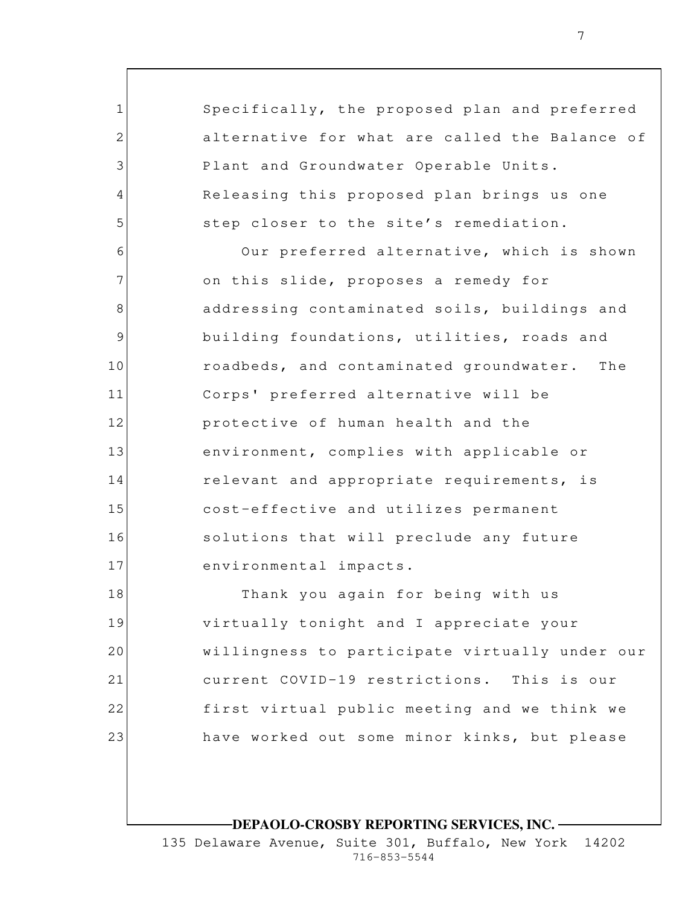1 2 3 4 5 6 7 8 9 10 11 12 13 14 15 16 17 18 19 20 21 Specifically, the proposed plan and preferred alternative for what are called the Balance of Plant and Groundwater Operable Units. Releasing this proposed plan brings us one step closer to the site's remediation. Our preferred alternative, which is shown on this slide, proposes a remedy for addressing contaminated soils, buildings and building foundations, utilities, roads and roadbeds, and contaminated groundwater. The Corps' preferred alternative will be protective of human health and the environment, complies with applicable or relevant and appropriate requirements, is cost-effective and utilizes permanent solutions that will preclude any future environmental impacts. Thank you again for being with us virtually tonight and I appreciate your willingness to participate virtually under our current COVID-19 restrictions. This is our

have worked out some minor kinks, but please

first virtual public meeting and we think we

22

23

**DEPAOLO-CROSBY REPORTING SERVICES, INC.**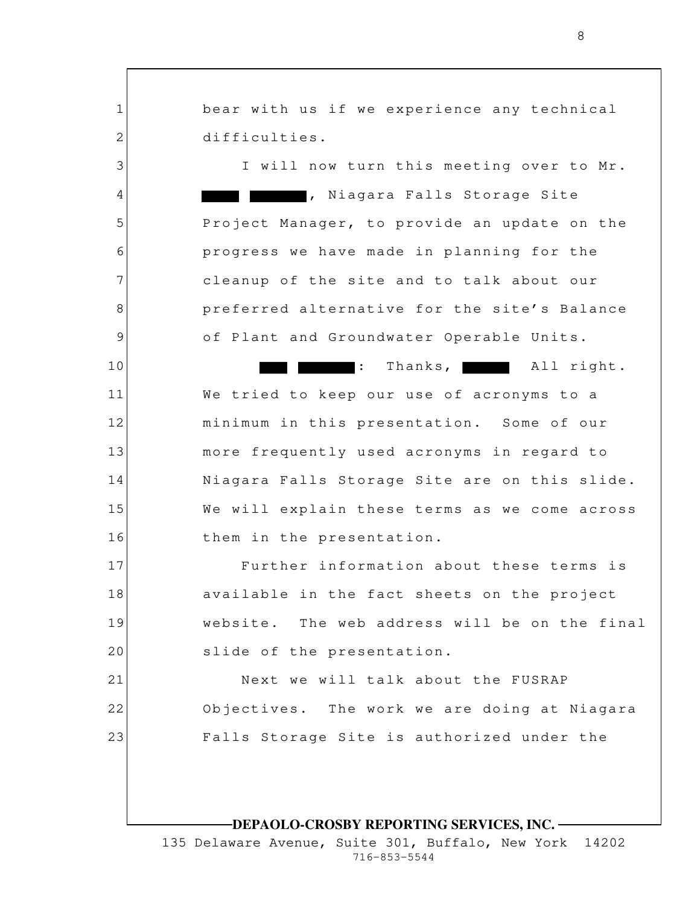1 2 3 4 5 6 7 8 9 10 11 12 13 14 15 16 17 18 19 20 21 22 23 bear with us if we experience any technical difficulties. I will now turn this meeting over to Mr. , Niagara Falls Storage Site Project Manager, to provide an update on the progress we have made in planning for the cleanup of the site and to talk about our preferred alternative for the site's Balance of Plant and Groundwater Operable Units. : Thanks, All right. We tried to keep our use of acronyms to a minimum in this presentation. Some of our more frequently used acronyms in regard to Niagara Falls Storage Site are on this slide. We will explain these terms as we come across them in the presentation. Further information about these terms is available in the fact sheets on the project website. The web address will be on the final slide of the presentation. Next we will talk about the FUSRAP Objectives. The work we are doing at Niagara Falls Storage Site is authorized under the

8

**DEPAOLO-CROSBY REPORTING SERVICES, INC.**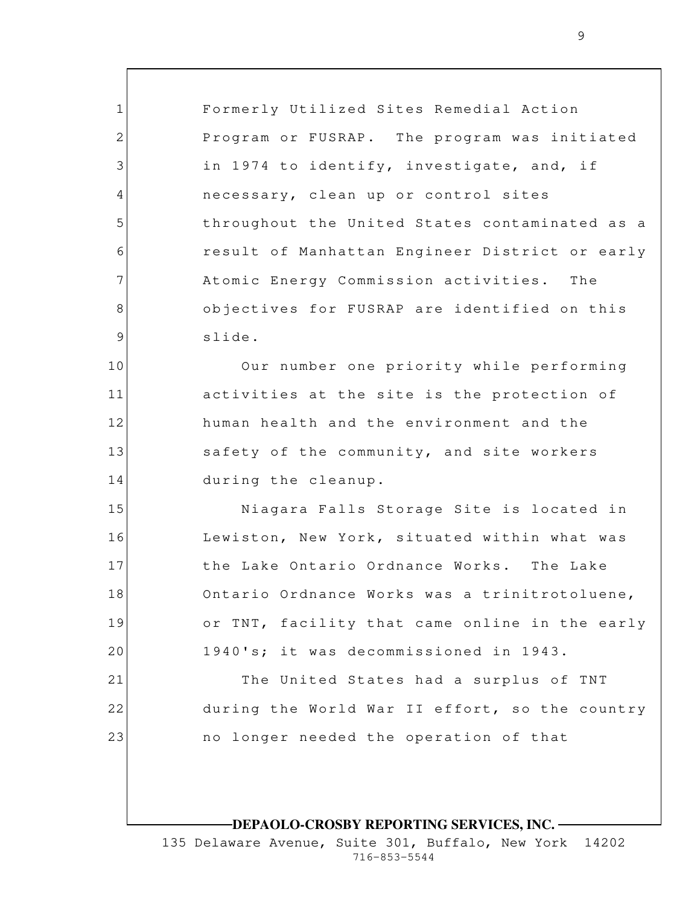1 2 3 4 5 6 7 8 9 10 11 12 13 14 15 16 17 18 19 20 21 22 23 Formerly Utilized Sites Remedial Action Program or FUSRAP. The program was initiated in 1974 to identify, investigate, and, if necessary, clean up or control sites throughout the United States contaminated as a result of Manhattan Engineer District or early Atomic Energy Commission activities. The objectives for FUSRAP are identified on this slide. Our number one priority while performing activities at the site is the protection of human health and the environment and the safety of the community, and site workers during the cleanup. Niagara Falls Storage Site is located in Lewiston, New York, situated within what was the Lake Ontario Ordnance Works. The Lake Ontario Ordnance Works was a trinitrotoluene, or TNT, facility that came online in the early 1940's; it was decommissioned in 1943. The United States had a surplus of TNT during the World War II effort, so the country no longer needed the operation of that

**DEPAOLO-CROSBY REPORTING SERVICES, INC.**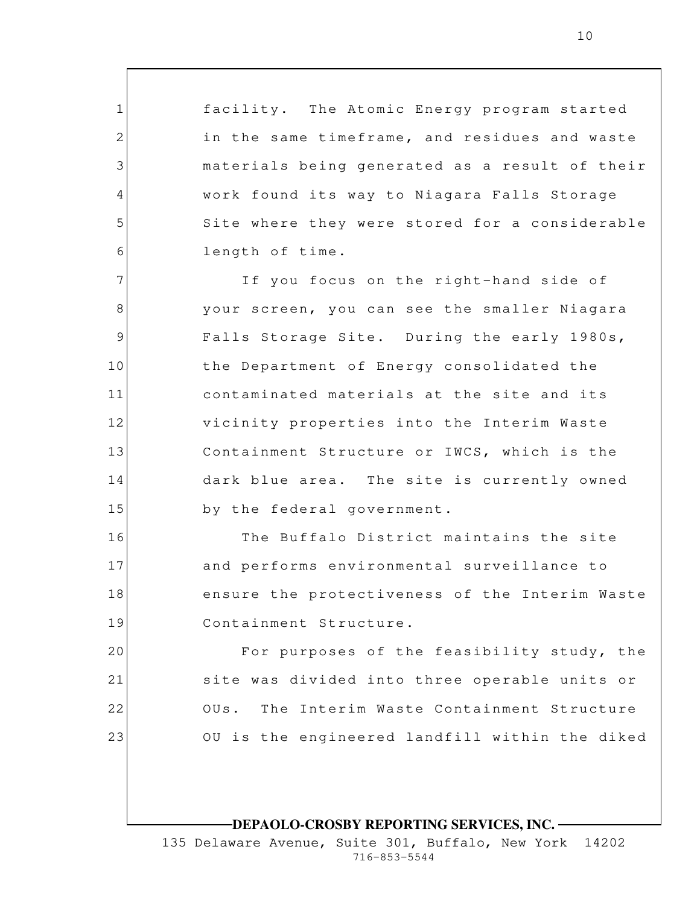facility. The Atomic Energy program started in the same timeframe, and residues and waste materials being generated as a result of their work found its way to Niagara Falls Storage Site where they were stored for a considerable length of time.

1

2

3

4

5

6

16

17

18

19

7 8 9 10 11 12 13 14 15 If you focus on the right-hand side of your screen, you can see the smaller Niagara Falls Storage Site. During the early 1980s, the Department of Energy consolidated the contaminated materials at the site and its vicinity properties into the Interim Waste Containment Structure or IWCS, which is the dark blue area. The site is currently owned by the federal government.

The Buffalo District maintains the site and performs environmental surveillance to ensure the protectiveness of the Interim Waste Containment Structure.

20 21 22 23 For purposes of the feasibility study, the site was divided into three operable units or OUs. The Interim Waste Containment Structure OU is the engineered landfill within the diked

### **DEPAOLO-CROSBY REPORTING SERVICES, INC.**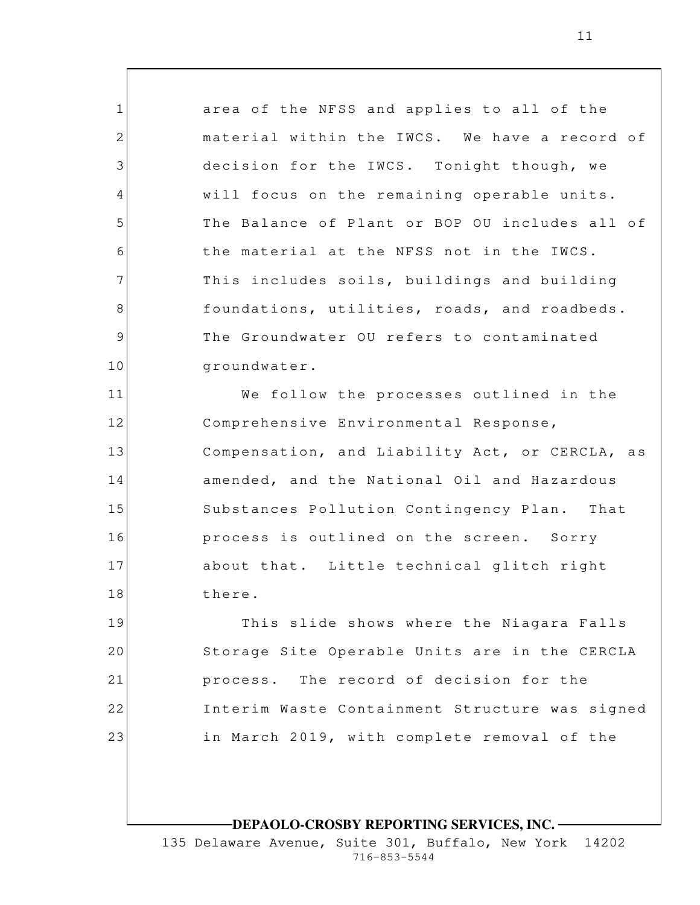area of the NFSS and applies to all of the material within the IWCS. We have a record of decision for the IWCS. Tonight though, we will focus on the remaining operable units. The Balance of Plant or BOP OU includes all of the material at the NFSS not in the IWCS. This includes soils, buildings and building foundations, utilities, roads, and roadbeds. The Groundwater OU refers to contaminated groundwater.

1

2

3

4

5

6

7

8

9

10

11 12 13 14 15 16 17 18 We follow the processes outlined in the Comprehensive Environmental Response, Compensation, and Liability Act, or CERCLA, as amended, and the National Oil and Hazardous Substances Pollution Contingency Plan. That process is outlined on the screen. Sorry about that. Little technical glitch right there.

19 20 21 22 23 This slide shows where the Niagara Falls Storage Site Operable Units are in the CERCLA process. The record of decision for the Interim Waste Containment Structure was signed in March 2019, with complete removal of the

**DEPAOLO-CROSBY REPORTING SERVICES, INC.**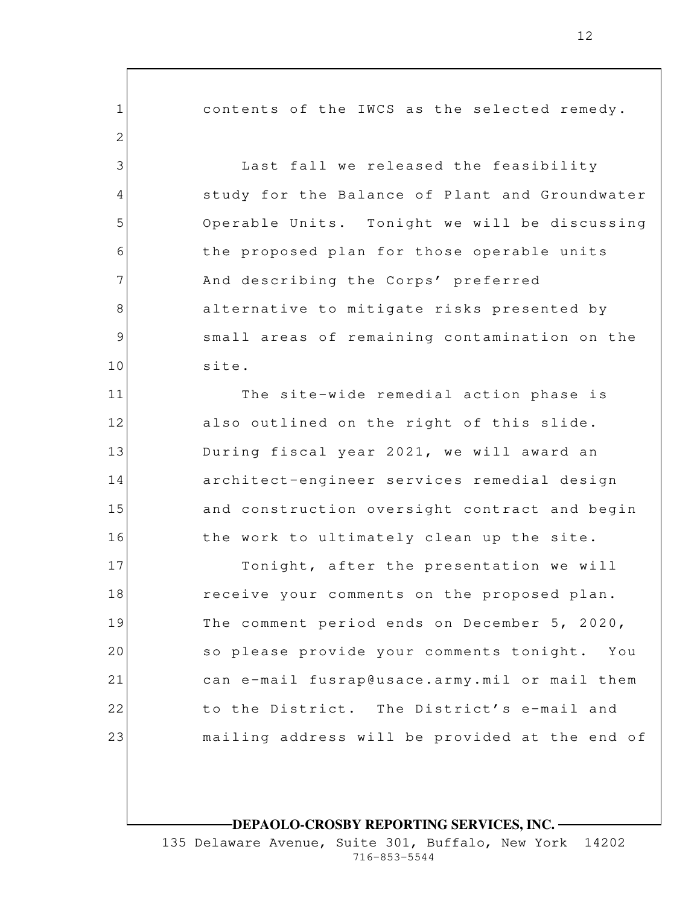contents of the IWCS as the selected remedy. Last fall we released the feasibility study for the Balance of Plant and Groundwater Operable Units. Tonight we will be discussing the proposed plan for those operable units And describing the Corps' preferred alternative to mitigate risks presented by small areas of remaining contamination on the site.

1

2

3

4

5

6

7

8

9

10

11

12

13

14

15

16

The site-wide remedial action phase is also outlined on the right of this slide. During fiscal year 2021, we will award an architect-engineer services remedial design and construction oversight contract and begin the work to ultimately clean up the site.

17 18 19 20 21 22 23 Tonight, after the presentation we will receive your comments on the proposed plan. The comment period ends on December 5, 2020, so please provide your comments tonight. You can e-mail fusrap@usace.army.mil or mail them to the District. The District's e-mail and mailing address will be provided at the end of

**DEPAOLO-CROSBY REPORTING SERVICES, INC.**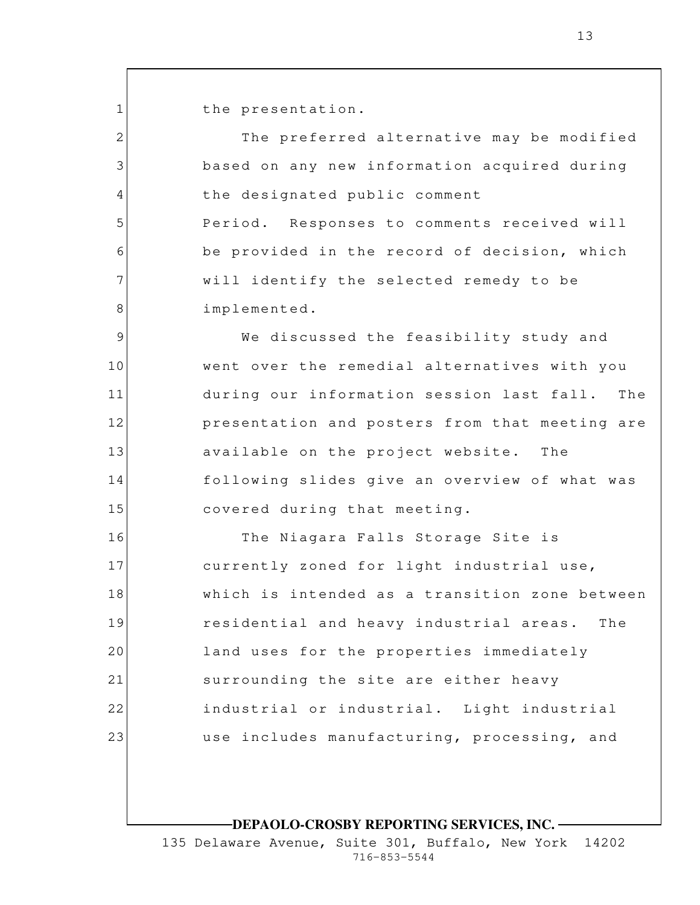the presentation.

1

2

3

4

5

6

7

8

The preferred alternative may be modified based on any new information acquired during the designated public comment Period. Responses to comments received will be provided in the record of decision, which will identify the selected remedy to be implemented.

9 10 11 12 13 14 15 We discussed the feasibility study and went over the remedial alternatives with you during our information session last fall. The presentation and posters from that meeting are available on the project website. The following slides give an overview of what was covered during that meeting.

16 17 18 19 20 21 22 23 The Niagara Falls Storage Site is currently zoned for light industrial use, which is intended as a transition zone between residential and heavy industrial areas. The land uses for the properties immediately surrounding the site are either heavy industrial or industrial. Light industrial use includes manufacturing, processing, and

**DEPAOLO-CROSBY REPORTING SERVICES, INC.**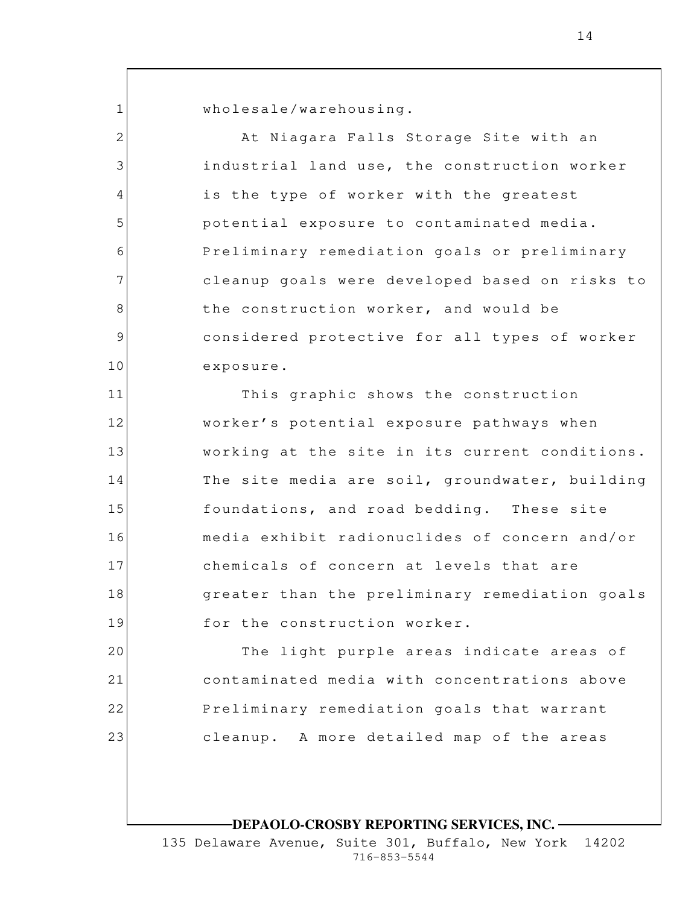1

2

3

4

5

6

7

8

9

10

wholesale/warehousing.

At Niagara Falls Storage Site with an industrial land use, the construction worker is the type of worker with the greatest potential exposure to contaminated media. Preliminary remediation goals or preliminary cleanup goals were developed based on risks to the construction worker, and would be considered protective for all types of worker exposure.

11 12 13 14 15 16 17 18 19 This graphic shows the construction worker's potential exposure pathways when working at the site in its current conditions. The site media are soil, groundwater, building foundations, and road bedding. These site media exhibit radionuclides of concern and/or chemicals of concern at levels that are greater than the preliminary remediation goals for the construction worker.

20 21 22 23 The light purple areas indicate areas of contaminated media with concentrations above Preliminary remediation goals that warrant cleanup. A more detailed map of the areas

**DEPAOLO-CROSBY REPORTING SERVICES, INC.**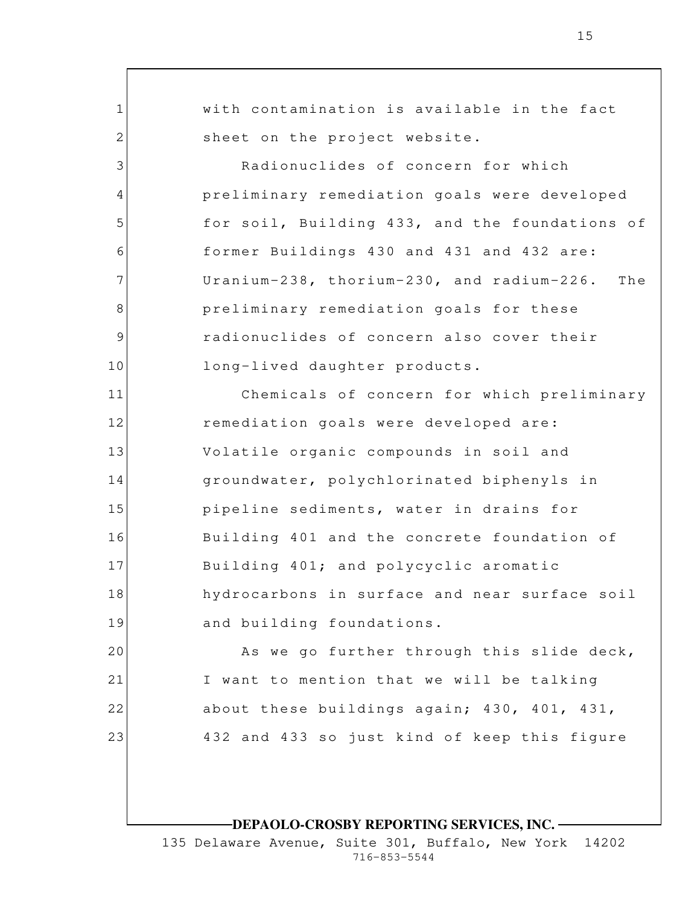1 2 3 4 5 6 7 8 9 10 11 12 13 14 15 16 17 18 19 20 21 22 23 with contamination is available in the fact sheet on the project website. Radionuclides of concern for which preliminary remediation goals were developed for soil, Building 433, and the foundations of former Buildings 430 and 431 and 432 are: Uranium-238, thorium-230, and radium-226. The preliminary remediation goals for these radionuclides of concern also cover their long-lived daughter products. Chemicals of concern for which preliminary remediation goals were developed are: Volatile organic compounds in soil and groundwater, polychlorinated biphenyls in pipeline sediments, water in drains for Building 401 and the concrete foundation of Building 401; and polycyclic aromatic hydrocarbons in surface and near surface soil and building foundations. As we go further through this slide deck, I want to mention that we will be talking about these buildings again; 430, 401, 431, 432 and 433 so just kind of keep this figure

**DEPAOLO-CROSBY REPORTING SERVICES, INC.**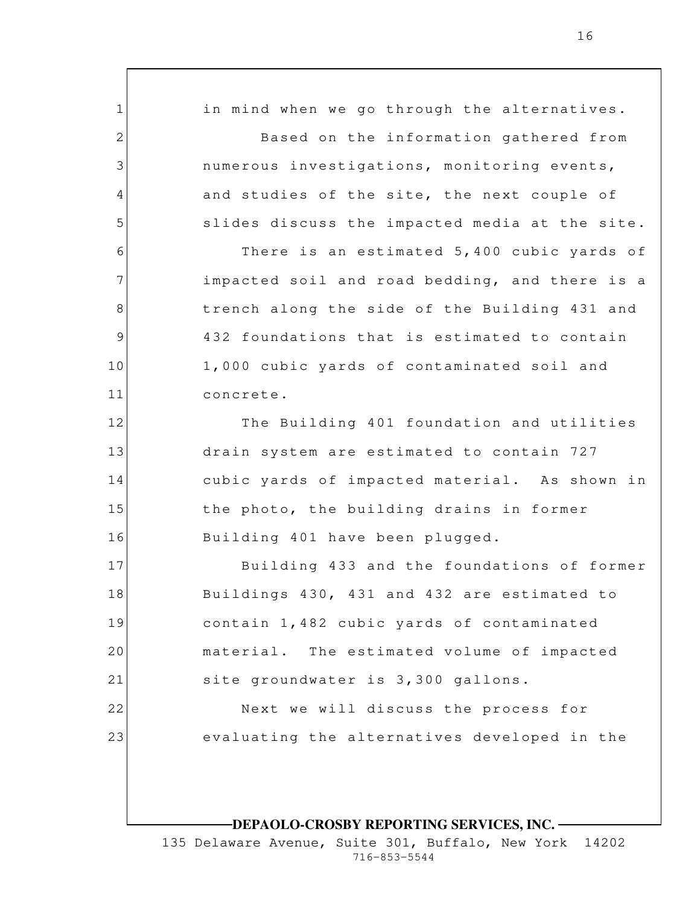1 2 3 4 5 6 7 8 9 10 11 12 13 14 15 16 17 18 19 20 21 22 23 in mind when we go through the alternatives. Based on the information gathered from numerous investigations, monitoring events, and studies of the site, the next couple of slides discuss the impacted media at the site. There is an estimated 5,400 cubic yards of impacted soil and road bedding, and there is a trench along the side of the Building 431 and 432 foundations that is estimated to contain 1,000 cubic yards of contaminated soil and concrete. The Building 401 foundation and utilities drain system are estimated to contain 727 cubic yards of impacted material. As shown in the photo, the building drains in former Building 401 have been plugged. Building 433 and the foundations of former Buildings 430, 431 and 432 are estimated to contain 1,482 cubic yards of contaminated material. The estimated volume of impacted site groundwater is 3,300 gallons. Next we will discuss the process for evaluating the alternatives developed in the

**DEPAOLO-CROSBY REPORTING SERVICES, INC.**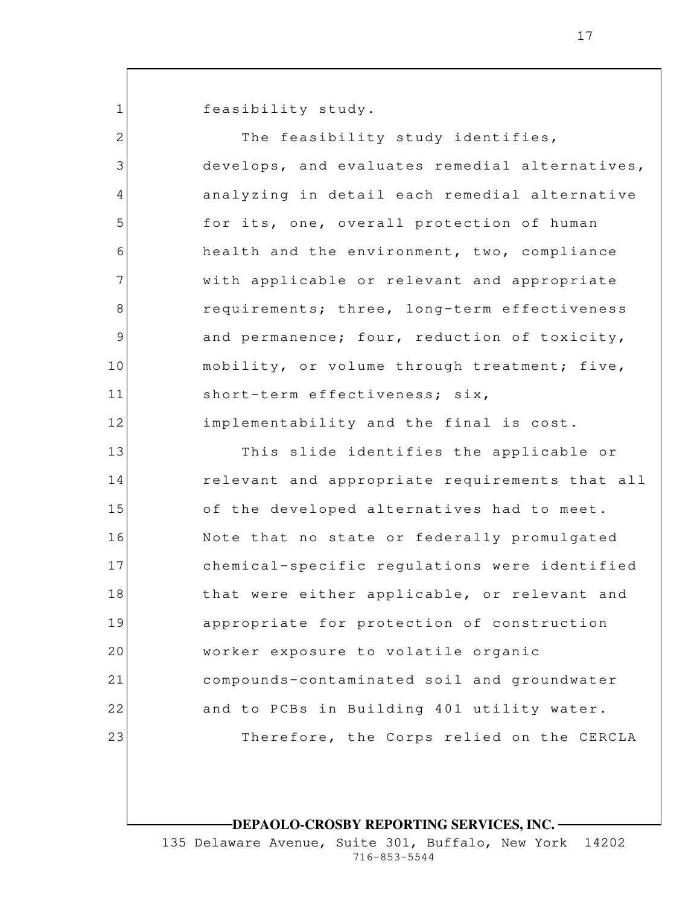1

feasibility study.

| $\mathbf{2}$ | The feasibility study identifies,              |
|--------------|------------------------------------------------|
| 3            | develops, and evaluates remedial alternatives, |
| 4            | analyzing in detail each remedial alternative  |
| 5            | for its, one, overall protection of human      |
| 6            | health and the environment, two, compliance    |
| 7            | with applicable or relevant and appropriate    |
| 8            | requirements; three, long-term effectiveness   |
| 9            | and permanence; four, reduction of toxicity,   |
| 10           | mobility, or volume through treatment; five,   |
| 11           | short-term effectiveness; six,                 |
| 12           | implementability and the final is cost.        |
| 13           | This slide identifies the applicable or        |
| 14           | relevant and appropriate requirements that all |
| 15           | of the developed alternatives had to meet.     |
| 16           | Note that no state or federally promulgated    |
| 17           | chemical-specific regulations were identified  |
| 18           | that were either applicable, or relevant and   |
| 19           | appropriate for protection of construction     |
| 20           | worker exposure to volatile organic            |
| 21           | compounds-contaminated soil and groundwater    |
| 22           | and to PCBs in Building 401 utility water.     |
| 23           | Therefore, the Corps relied on the CERCLA      |
|              |                                                |

**DEPAOLO-CROSBY REPORTING SERVICES, INC.**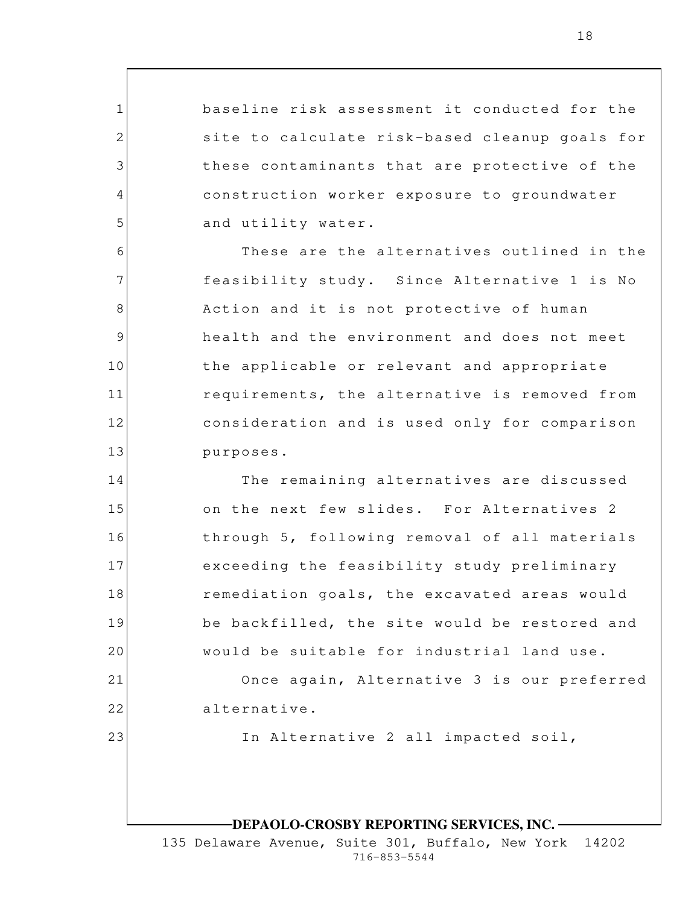baseline risk assessment it conducted for the site to calculate risk-based cleanup goals for these contaminants that are protective of the construction worker exposure to groundwater and utility water.

1

2

3

4

5

6

7

8

9

10

11

12

13

14

15

16

17

18

19

20

21

22

23

These are the alternatives outlined in the feasibility study. Since Alternative 1 is No Action and it is not protective of human health and the environment and does not meet the applicable or relevant and appropriate requirements, the alternative is removed from consideration and is used only for comparison purposes.

The remaining alternatives are discussed on the next few slides. For Alternatives 2 through 5, following removal of all materials exceeding the feasibility study preliminary remediation goals, the excavated areas would be backfilled, the site would be restored and would be suitable for industrial land use.

Once again, Alternative 3 is our preferred alternative.

In Alternative 2 all impacted soil,

## **DEPAOLO-CROSBY REPORTING SERVICES, INC.**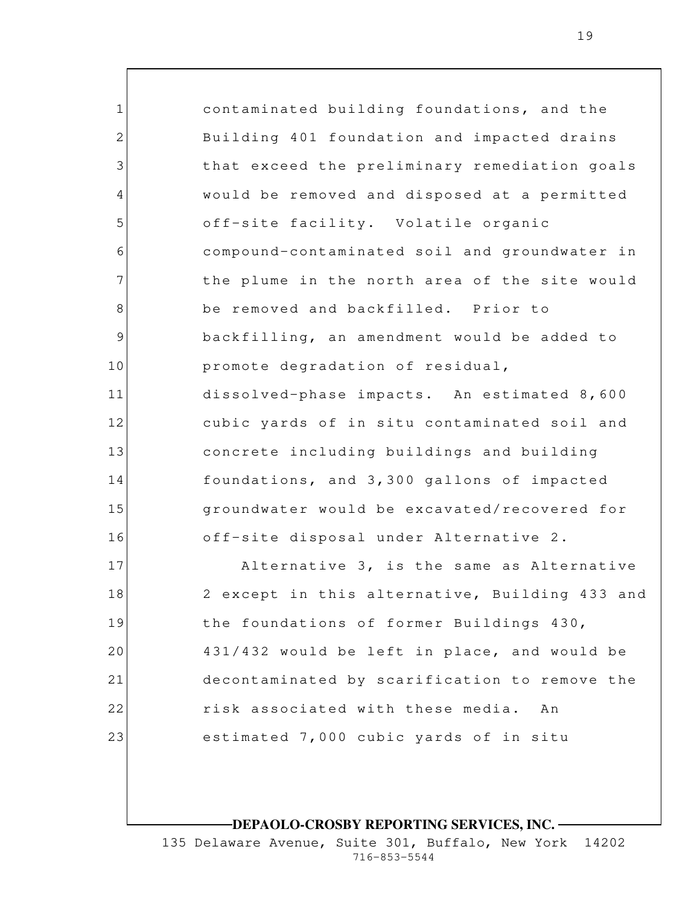1 2 3 4 5 6 7 8 9 10 11 12 13 14 15 16 17 18 19 20 21 22 23 contaminated building foundations, and the Building 401 foundation and impacted drains that exceed the preliminary remediation goals would be removed and disposed at a permitted off-site facility. Volatile organic compound-contaminated soil and groundwater in the plume in the north area of the site would be removed and backfilled. Prior to backfilling, an amendment would be added to promote degradation of residual, dissolved-phase impacts. An estimated 8,600 cubic yards of in situ contaminated soil and concrete including buildings and building foundations, and 3,300 gallons of impacted groundwater would be excavated/recovered for off-site disposal under Alternative 2. Alternative 3, is the same as Alternative 2 except in this alternative, Building 433 and the foundations of former Buildings 430, 431/432 would be left in place, and would be decontaminated by scarification to remove the risk associated with these media. An estimated 7,000 cubic yards of in situ

**DEPAOLO-CROSBY REPORTING SERVICES, INC.**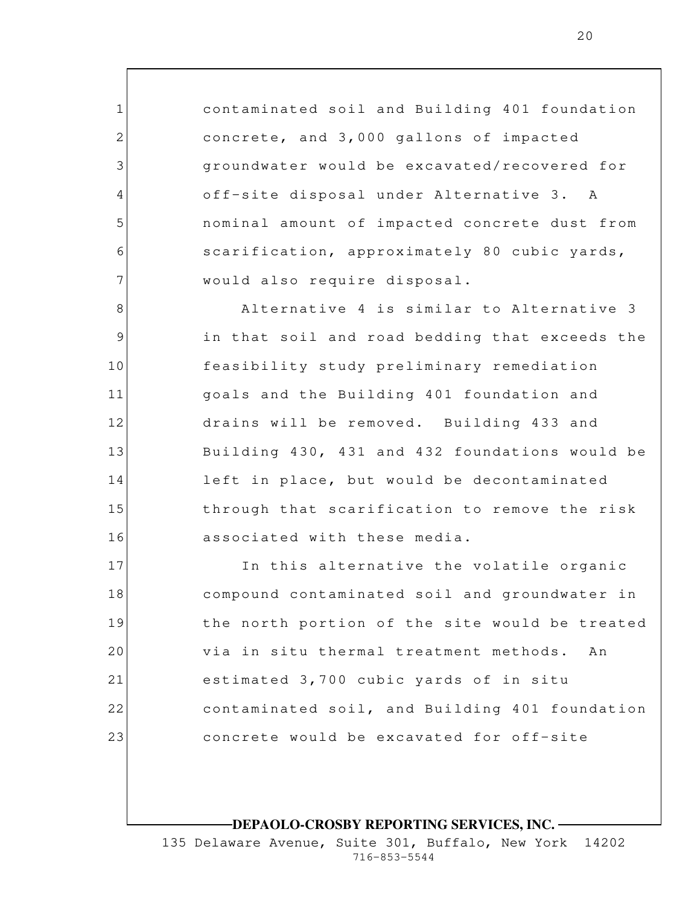contaminated soil and Building 401 foundation concrete, and 3,000 gallons of impacted groundwater would be excavated/recovered for off-site disposal under Alternative 3. A nominal amount of impacted concrete dust from scarification, approximately 80 cubic yards, would also require disposal.

1

2

3

4

5

6

7

8

9

10

11

14

12 13 15 16 Alternative 4 is similar to Alternative 3 in that soil and road bedding that exceeds the feasibility study preliminary remediation goals and the Building 401 foundation and drains will be removed. Building 433 and Building 430, 431 and 432 foundations would be left in place, but would be decontaminated through that scarification to remove the risk associated with these media.

17 18 19 20 21 22 23 In this alternative the volatile organic compound contaminated soil and groundwater in the north portion of the site would be treated via in situ thermal treatment methods. An estimated 3,700 cubic yards of in situ contaminated soil, and Building 401 foundation concrete would be excavated for off-site

**DEPAOLO-CROSBY REPORTING SERVICES, INC.**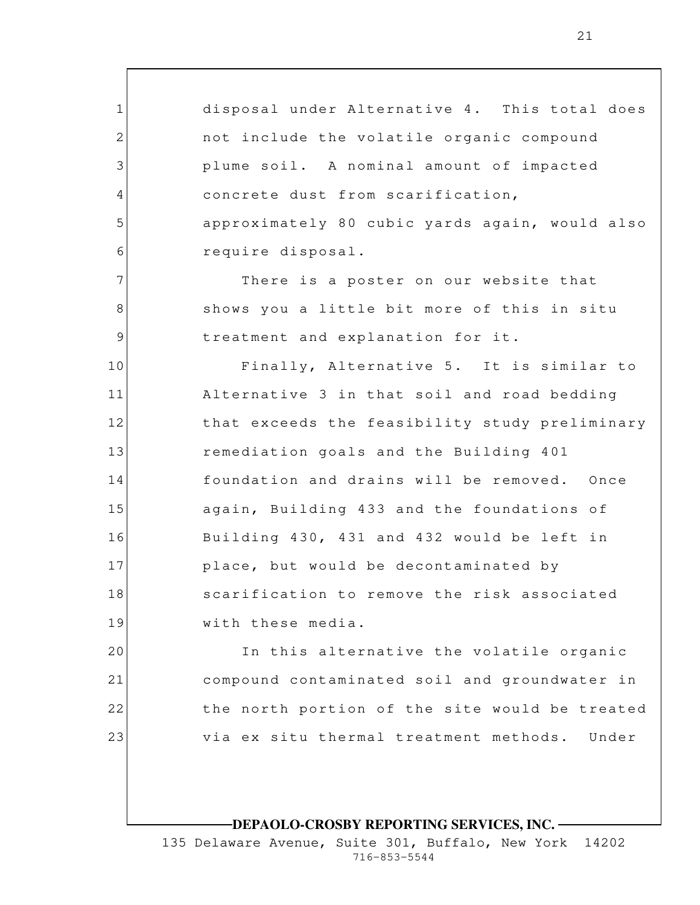1 2 3 4 5 6 7 8 9 10 11 12 13 14 15 16 17 18 19 20 21 disposal under Alternative 4. This total does not include the volatile organic compound plume soil. A nominal amount of impacted concrete dust from scarification, approximately 80 cubic yards again, would also require disposal. There is a poster on our website that shows you a little bit more of this in situ treatment and explanation for it. Finally, Alternative 5. It is similar to Alternative 3 in that soil and road bedding that exceeds the feasibility study preliminary remediation goals and the Building 401 foundation and drains will be removed. Once again, Building 433 and the foundations of Building 430, 431 and 432 would be left in place, but would be decontaminated by scarification to remove the risk associated with these media. In this alternative the volatile organic compound contaminated soil and groundwater in

via ex situ thermal treatment methods. Under

the north portion of the site would be treated

**DEPAOLO-CROSBY REPORTING SERVICES, INC.**

22

23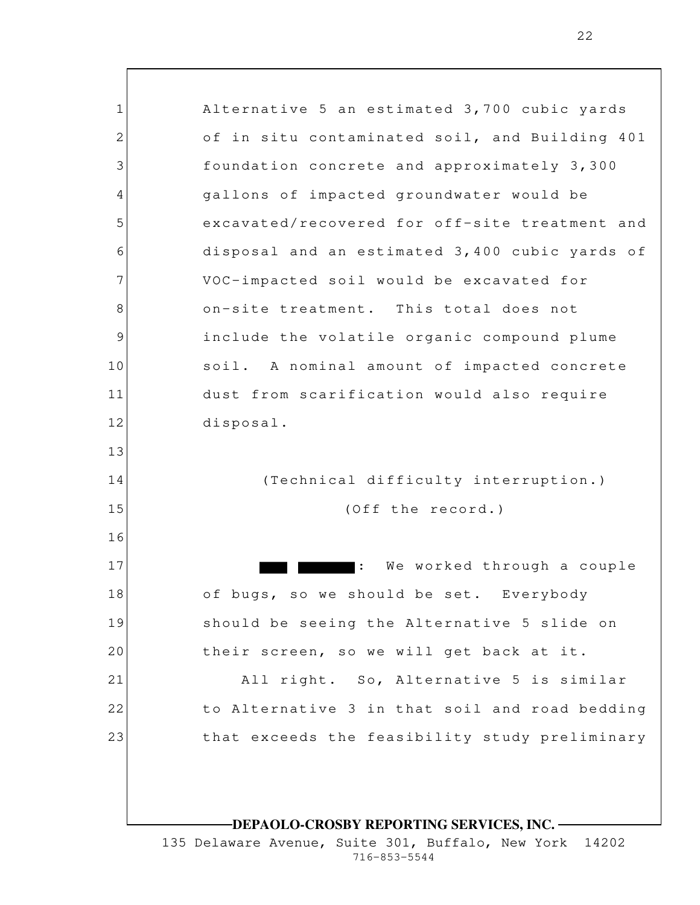1 2 3 4 5 6 7 8 9 10 11 12 13 14 15 16 17 18 19 20 21 22 23 **DEPAOLO-CROSBY REPORTING SERVICES, INC.** Alternative 5 an estimated 3,700 cubic yards of in situ contaminated soil, and Building 401 foundation concrete and approximately 3,300 gallons of impacted groundwater would be excavated/recovered for off-site treatment and disposal and an estimated 3,400 cubic yards of VOC-impacted soil would be excavated for on-site treatment. This total does not include the volatile organic compound plume soil. A nominal amount of impacted concrete dust from scarification would also require disposal. (Technical difficulty interruption.) (Off the record.) : We worked through a couple of bugs, so we should be set. Everybody should be seeing the Alternative 5 slide on their screen, so we will get back at it. All right. So, Alternative 5 is similar to Alternative 3 in that soil and road bedding that exceeds the feasibility study preliminary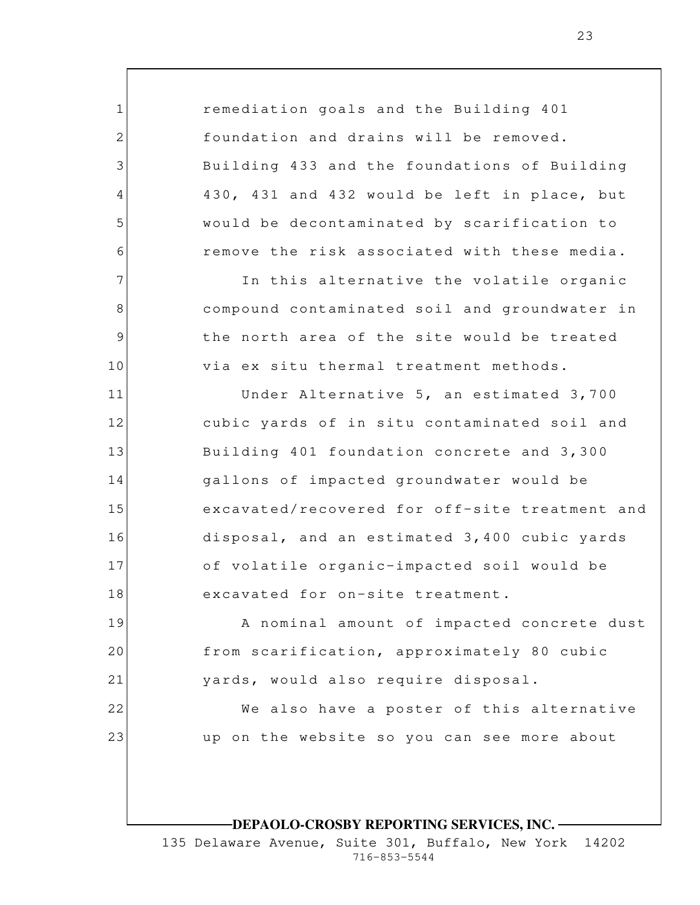remediation goals and the Building 401 foundation and drains will be removed. Building 433 and the foundations of Building 430, 431 and 432 would be left in place, but would be decontaminated by scarification to remove the risk associated with these media. In this alternative the volatile organic compound contaminated soil and groundwater in the north area of the site would be treated

1

2

3

4

5

6

7

8

9

10

22

23

11 12 13 14 15 16 17 18 Under Alternative 5, an estimated 3,700 cubic yards of in situ contaminated soil and Building 401 foundation concrete and 3,300 gallons of impacted groundwater would be excavated/recovered for off-site treatment and disposal, and an estimated 3,400 cubic yards of volatile organic-impacted soil would be excavated for on-site treatment.

via ex situ thermal treatment methods.

19 20 21 A nominal amount of impacted concrete dust from scarification, approximately 80 cubic yards, would also require disposal.

> We also have a poster of this alternative up on the website so you can see more about

## **DEPAOLO-CROSBY REPORTING SERVICES, INC.**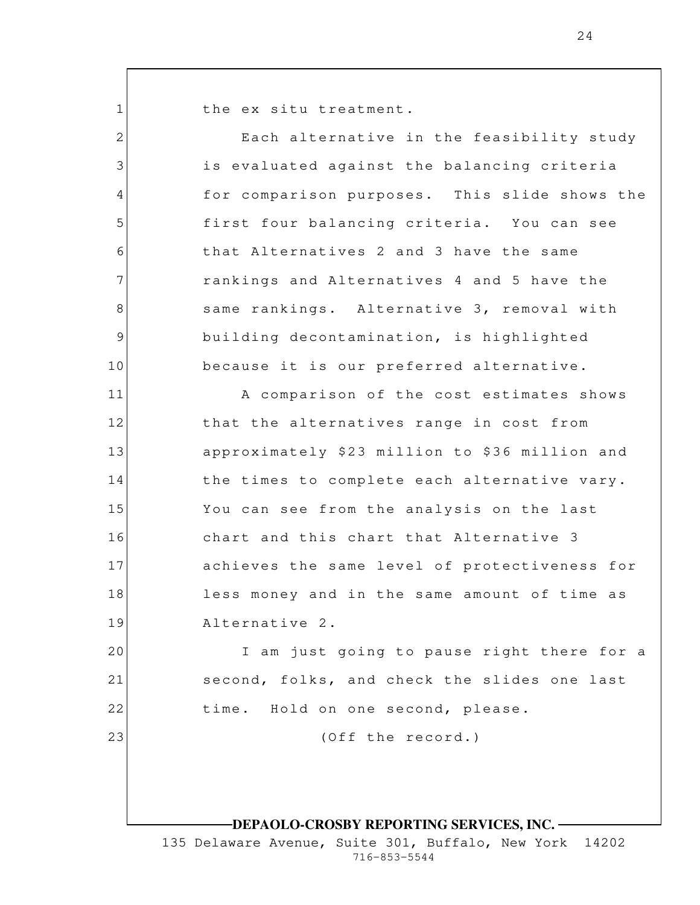the ex situ treatment.

1

2

3

4

5

6

7

8

9

10

11

12

13

14

15

16

17

18

19

23

Each alternative in the feasibility study is evaluated against the balancing criteria for comparison purposes. This slide shows the first four balancing criteria. You can see that Alternatives 2 and 3 have the same rankings and Alternatives 4 and 5 have the same rankings. Alternative 3, removal with building decontamination, is highlighted because it is our preferred alternative. A comparison of the cost estimates shows

that the alternatives range in cost from approximately \$23 million to \$36 million and the times to complete each alternative vary. You can see from the analysis on the last chart and this chart that Alternative 3 achieves the same level of protectiveness for less money and in the same amount of time as Alternative 2.

20 21 22 I am just going to pause right there for a second, folks, and check the slides one last time. Hold on one second, please.

(Off the record.)

## **DEPAOLO-CROSBY REPORTING SERVICES, INC.**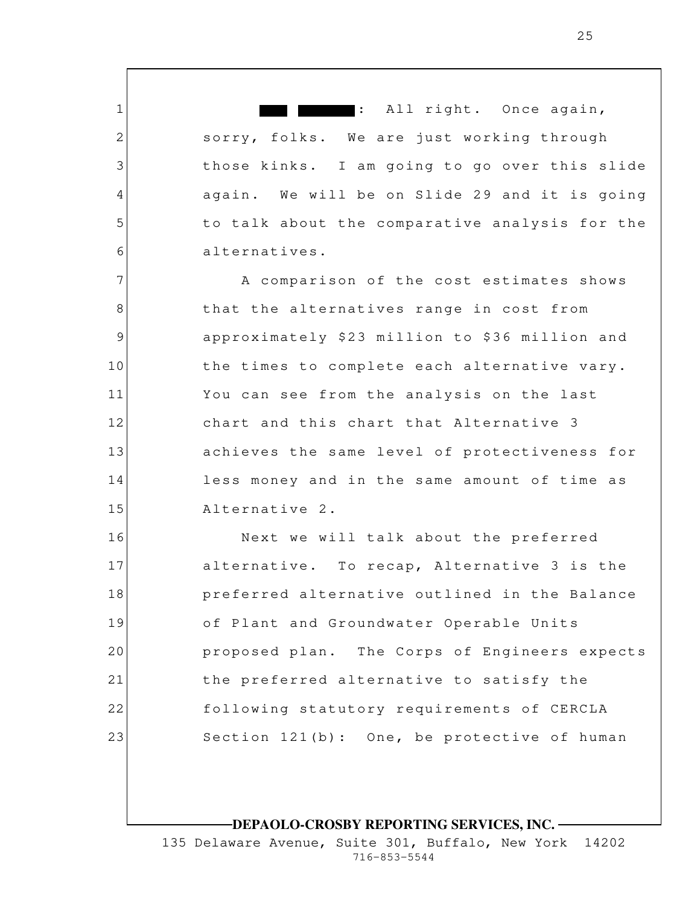: All right. Once again, sorry, folks. We are just working through those kinks. I am going to go over this slide again. We will be on Slide 29 and it is going to talk about the comparative analysis for the alternatives.

1

2

3

4

5

6

7 8 9 10 11 12 13 14 15 A comparison of the cost estimates shows that the alternatives range in cost from approximately \$23 million to \$36 million and the times to complete each alternative vary. You can see from the analysis on the last chart and this chart that Alternative 3 achieves the same level of protectiveness for less money and in the same amount of time as Alternative 2.

16 17 18 19 20 21 22 23 Next we will talk about the preferred alternative. To recap, Alternative 3 is the preferred alternative outlined in the Balance of Plant and Groundwater Operable Units proposed plan. The Corps of Engineers expects the preferred alternative to satisfy the following statutory requirements of CERCLA Section 121(b): One, be protective of human

#### **DEPAOLO-CROSBY REPORTING SERVICES, INC.**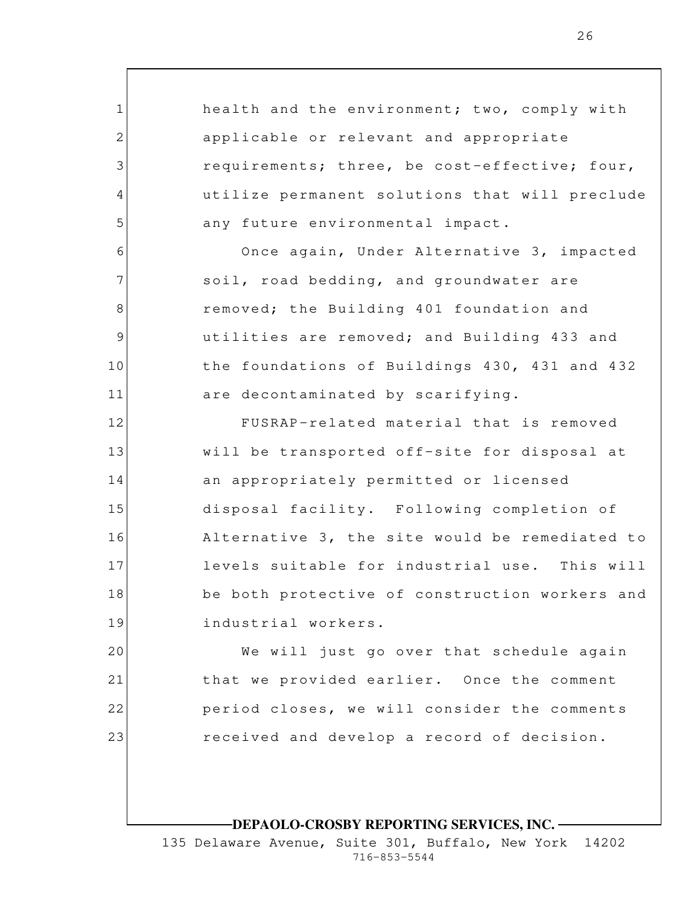1 2 3 4 5 6 7 8 9 10 11 12 13 14 15 16 17 18 19 20 21 health and the environment; two, comply with applicable or relevant and appropriate requirements; three, be cost-effective; four, utilize permanent solutions that will preclude any future environmental impact. Once again, Under Alternative 3, impacted soil, road bedding, and groundwater are removed; the Building 401 foundation and utilities are removed; and Building 433 and the foundations of Buildings 430, 431 and 432 are decontaminated by scarifying. FUSRAP-related material that is removed will be transported off-site for disposal at an appropriately permitted or licensed disposal facility. Following completion of Alternative 3, the site would be remediated to levels suitable for industrial use. This will be both protective of construction workers and industrial workers. We will just go over that schedule again that we provided earlier. Once the comment

> period closes, we will consider the comments received and develop a record of decision.

22

23

**DEPAOLO-CROSBY REPORTING SERVICES, INC.**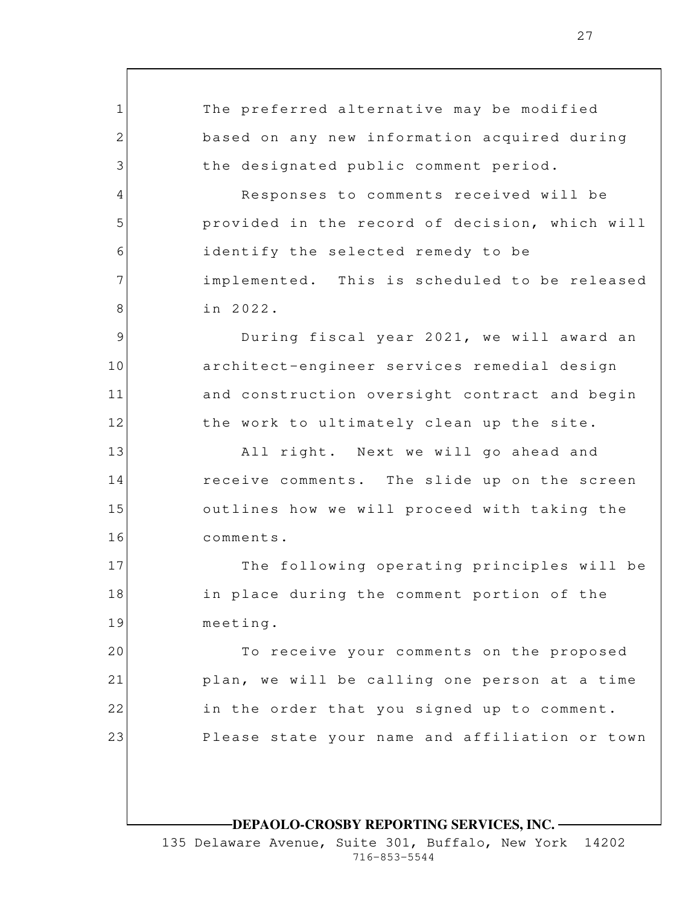1 2 3 4 5 6 7 8 9 10 11 12 13 14 15 16 17 18 19 20 21 22 23 The preferred alternative may be modified based on any new information acquired during the designated public comment period. Responses to comments received will be provided in the record of decision, which will identify the selected remedy to be implemented. This is scheduled to be released in 2022. During fiscal year 2021, we will award an architect-engineer services remedial design and construction oversight contract and begin the work to ultimately clean up the site. All right. Next we will go ahead and receive comments. The slide up on the screen outlines how we will proceed with taking the comments. The following operating principles will be in place during the comment portion of the meeting. To receive your comments on the proposed plan, we will be calling one person at a time in the order that you signed up to comment. Please state your name and affiliation or town

**DEPAOLO-CROSBY REPORTING SERVICES, INC.**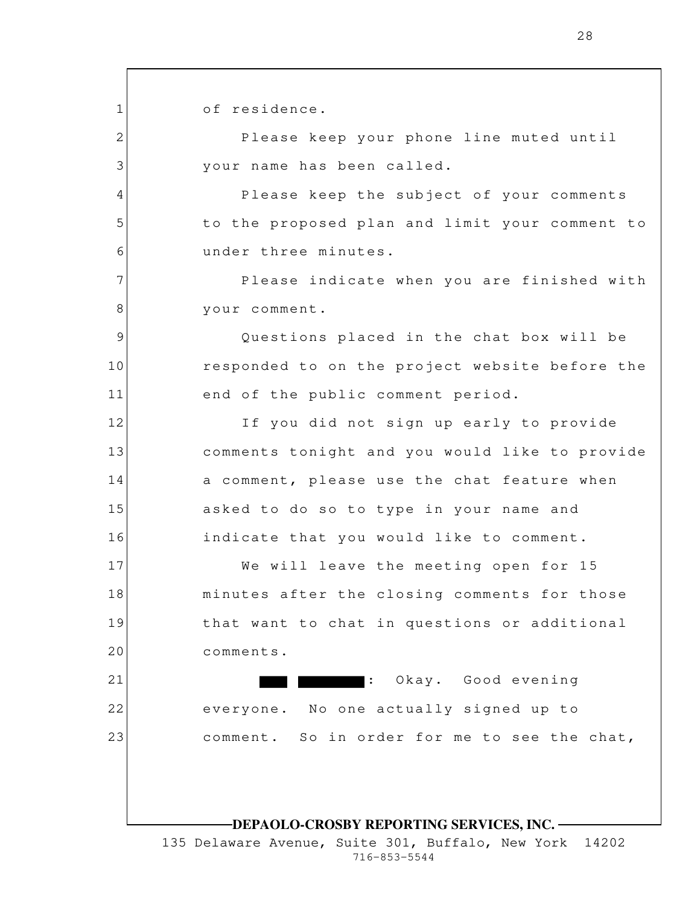1 2 3 4 5 6 7 8 9 10 11 12 13 14 15 16 17 18 19 20 21 22 23 **DEPAOLO-CROSBY REPORTING SERVICES, INC.** of residence. Please keep your phone line muted until your name has been called. Please keep the subject of your comments to the proposed plan and limit your comment to under three minutes. Please indicate when you are finished with your comment. Questions placed in the chat box will be responded to on the project website before the end of the public comment period. If you did not sign up early to provide comments tonight and you would like to provide a comment, please use the chat feature when asked to do so to type in your name and indicate that you would like to comment. We will leave the meeting open for 15 minutes after the closing comments for those that want to chat in questions or additional comments. : Okay. Good evening everyone. No one actually signed up to comment. So in order for me to see the chat,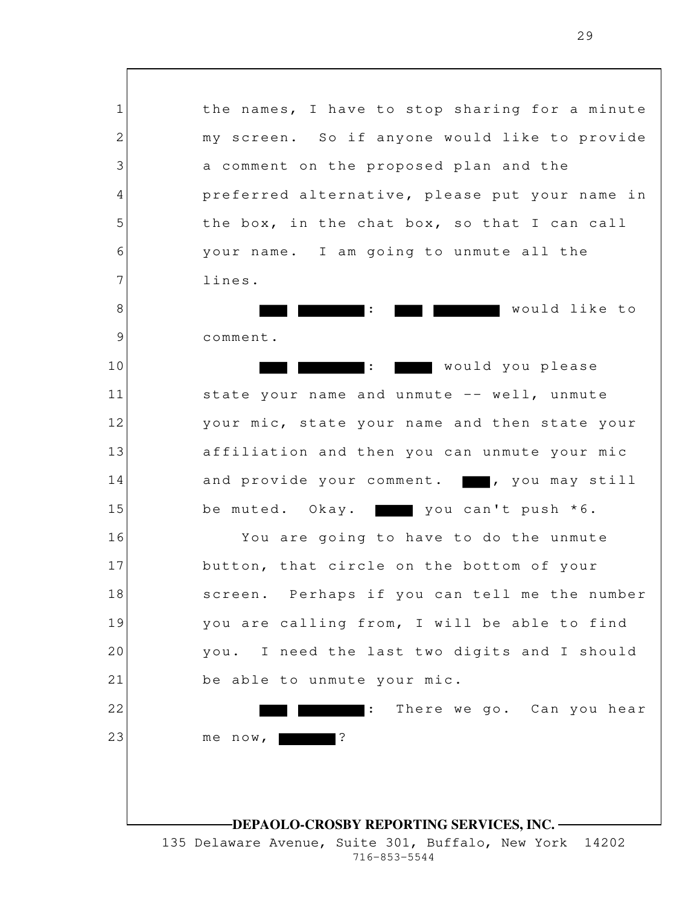1 2 3 4 5 6 7 8 9 10 11 12 13 14 15 16 17 18 19 20 21 22 23 **DEPAOLO-CROSBY REPORTING SERVICES, INC.** 135 Delaware Avenue, Suite 301, Buffalo, New York 14202 the names, I have to stop sharing for a minute my screen. So if anyone would like to provide a comment on the proposed plan and the preferred alternative, please put your name in the box, in the chat box, so that I can call your name. I am going to unmute all the lines. : would like to comment. : would you please state your name and unmute -- well, unmute your mic, state your name and then state your affiliation and then you can unmute your mic and provide your comment. , you may still be muted. Okay.  $\blacksquare$  you can't push  $*6$ . You are going to have to do the unmute button, that circle on the bottom of your screen. Perhaps if you can tell me the number you are calling from, I will be able to find you. I need the last two digits and I should be able to unmute your mic. : There we go. Can you hear me now, **Particle**?

716-853-5544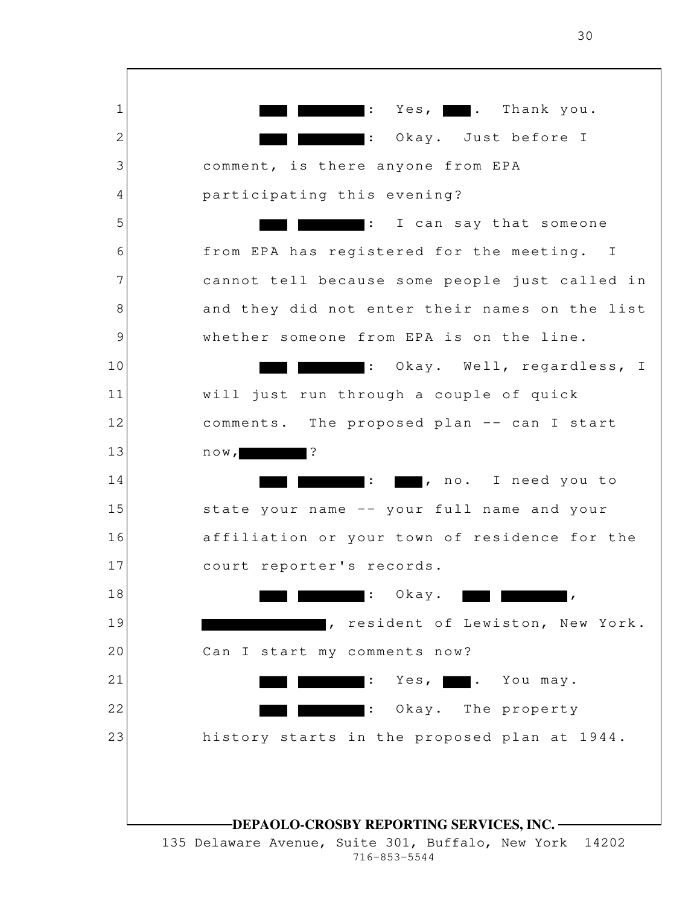1 2 3 4 5 6 7 8 9 10 11 12 13 14 15 16 17 18 19 20 21 22 23 **DEPAOLO-CROSBY REPORTING SERVICES, INC.** 135 Delaware Avenue, Suite 301, Buffalo, New York 14202 716-853-5544  $\mathbf{r}:$  Yes,  $\blacksquare$ . Thank you. : Okay. Just before I comment, is there anyone from EPA participating this evening? : I can say that someone from EPA has registered for the meeting. I cannot tell because some people just called in and they did not enter their names on the list whether someone from EPA is on the line. : Okay. Well, regardless, I will just run through a couple of quick comments. The proposed plan -- can I start  $now,$  ?  $\blacksquare$ : , no. I need you to state your name -- your full name and your affiliation or your town of residence for the court reporter's records.  $\blacksquare$ : Okay. , resident of Lewiston, New York. Can I start my comments now? : Yes, **.** . You may. : Okay. The property history starts in the proposed plan at 1944.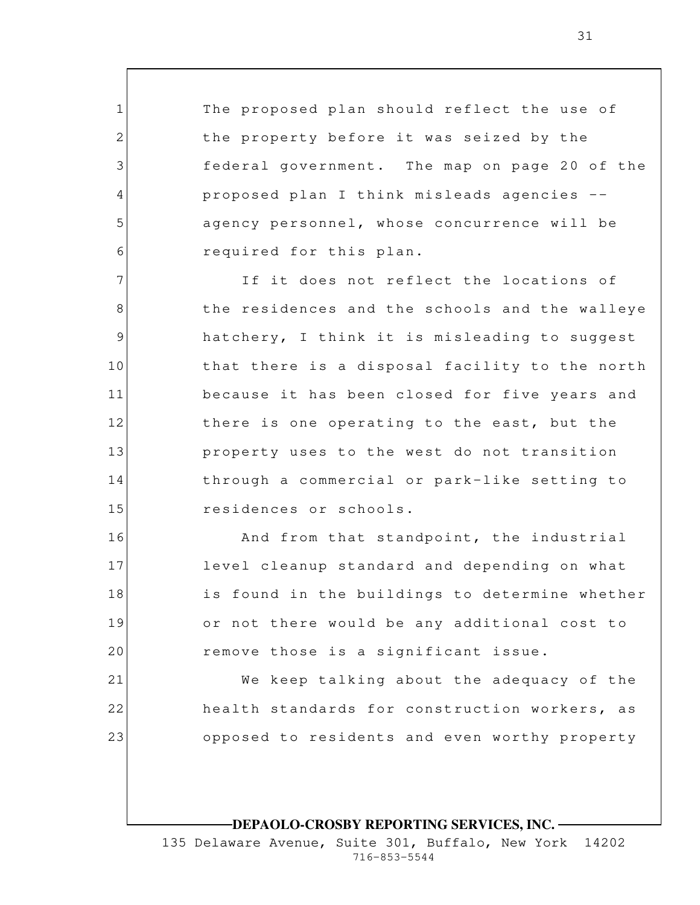The proposed plan should reflect the use of the property before it was seized by the federal government. The map on page 20 of the proposed plan I think misleads agencies - agency personnel, whose concurrence will be required for this plan.

1

2

3

4

5

6

16

17

18

19

20

21

22

23

7 8 9 10 11 12 13 14 15 If it does not reflect the locations of the residences and the schools and the walleye hatchery, I think it is misleading to suggest that there is a disposal facility to the north because it has been closed for five years and there is one operating to the east, but the property uses to the west do not transition through a commercial or park-like setting to residences or schools.

And from that standpoint, the industrial level cleanup standard and depending on what is found in the buildings to determine whether or not there would be any additional cost to remove those is a significant issue.

We keep talking about the adequacy of the health standards for construction workers, as opposed to residents and even worthy property

## **DEPAOLO-CROSBY REPORTING SERVICES, INC.**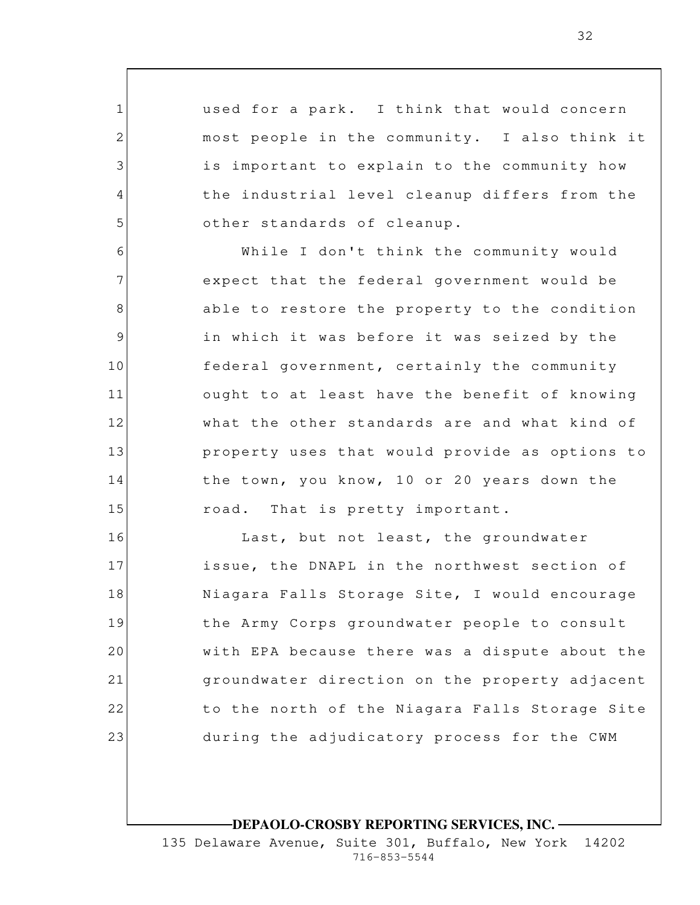used for a park. I think that would concern most people in the community. I also think it is important to explain to the community how the industrial level cleanup differs from the other standards of cleanup.

1

2

3

4

5

6 7 8 9 10 11 12 13 14 15 While I don't think the community would expect that the federal government would be able to restore the property to the condition in which it was before it was seized by the federal government, certainly the community ought to at least have the benefit of knowing what the other standards are and what kind of property uses that would provide as options to the town, you know, 10 or 20 years down the road. That is pretty important.

16 17 18 19 20 21 22 23 Last, but not least, the groundwater issue, the DNAPL in the northwest section of Niagara Falls Storage Site, I would encourage the Army Corps groundwater people to consult with EPA because there was a dispute about the groundwater direction on the property adjacent to the north of the Niagara Falls Storage Site during the adjudicatory process for the CWM

**DEPAOLO-CROSBY REPORTING SERVICES, INC.**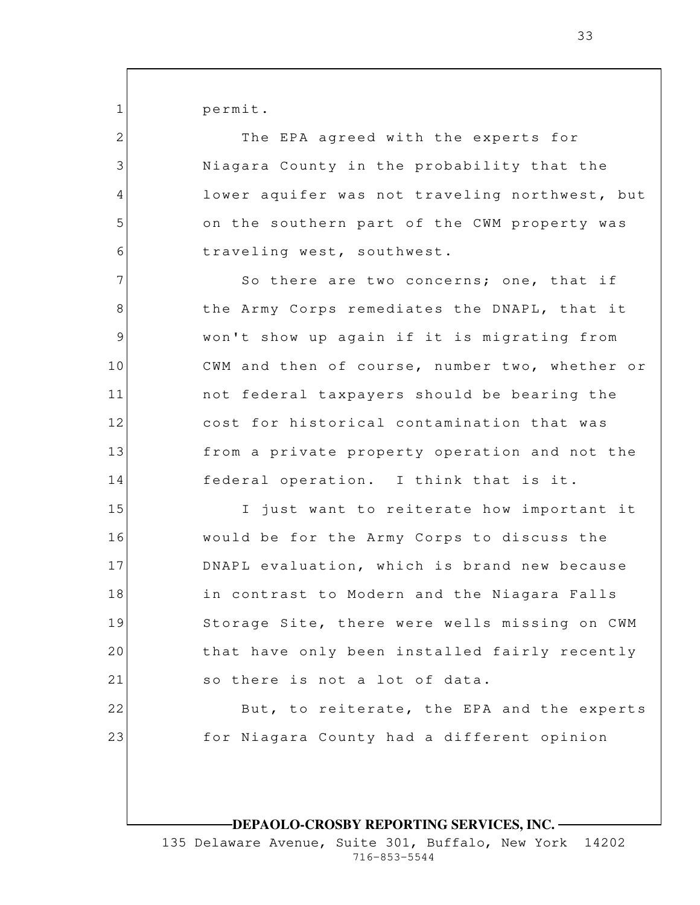permit.

1

2

3

4

5

6

7

8

9

10

11

12

13

14

15

16

17

18

19

20

21

22

23

The EPA agreed with the experts for Niagara County in the probability that the lower aquifer was not traveling northwest, but on the southern part of the CWM property was traveling west, southwest.

So there are two concerns; one, that if the Army Corps remediates the DNAPL, that it won't show up again if it is migrating from CWM and then of course, number two, whether or not federal taxpayers should be bearing the cost for historical contamination that was from a private property operation and not the federal operation. I think that is it.

I just want to reiterate how important it would be for the Army Corps to discuss the DNAPL evaluation, which is brand new because in contrast to Modern and the Niagara Falls Storage Site, there were wells missing on CWM that have only been installed fairly recently so there is not a lot of data.

> But, to reiterate, the EPA and the experts for Niagara County had a different opinion

## **DEPAOLO-CROSBY REPORTING SERVICES, INC.**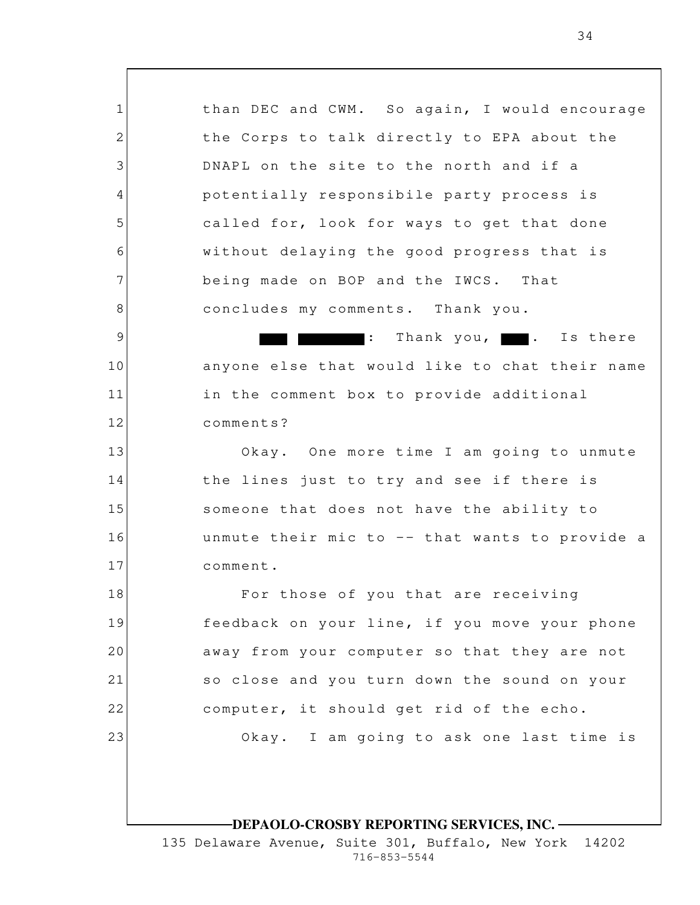1 2 3 4 5 6 7 8 9 10 11 12 13 14 15 16 17 18 19 20 21 22 23 than DEC and CWM. So again, I would encourage the Corps to talk directly to EPA about the DNAPL on the site to the north and if a potentially responsibile party process is called for, look for ways to get that done without delaying the good progress that is being made on BOP and the IWCS. That concludes my comments. Thank you.  $:$  Thank you,  $\blacksquare$ . Is there anyone else that would like to chat their name in the comment box to provide additional comments? Okay. One more time I am going to unmute the lines just to try and see if there is someone that does not have the ability to unmute their mic to -- that wants to provide a comment. For those of you that are receiving feedback on your line, if you move your phone away from your computer so that they are not so close and you turn down the sound on your computer, it should get rid of the echo. Okay. I am going to ask one last time is

# **DEPAOLO-CROSBY REPORTING SERVICES, INC.**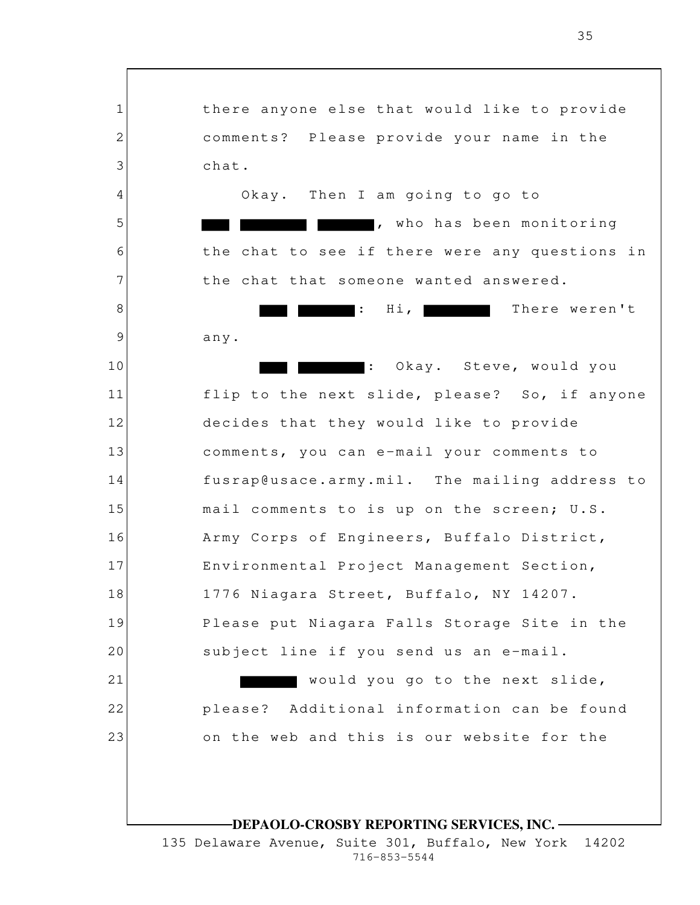1 2 3 4 5 6 7 8 9 10 11 12 13 14 15 16 17 18 19 20 21 22 23 **DEPAOLO-CROSBY REPORTING SERVICES, INC.** there anyone else that would like to provide comments? Please provide your name in the chat. Okay. Then I am going to go to , who has been monitoring the chat to see if there were any questions in the chat that someone wanted answered. **There weren't** There weren't any. : Okay. Steve, would you flip to the next slide, please? So, if anyone decides that they would like to provide comments, you can e-mail your comments to fusrap@usace.army.mil. The mailing address to mail comments to is up on the screen; U.S. Army Corps of Engineers, Buffalo District, Environmental Project Management Section, 1776 Niagara Street, Buffalo, NY 14207. Please put Niagara Falls Storage Site in the subject line if you send us an e-mail. would you go to the next slide, please? Additional information can be found on the web and this is our website for the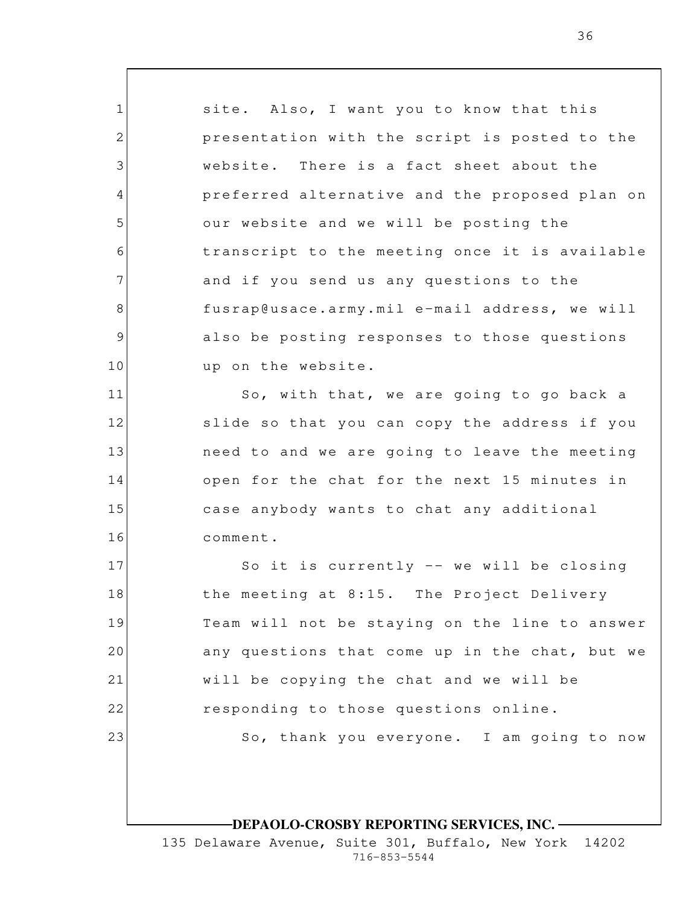1 2 3 4 5 6 7 8 9 10 11 12 13 14 15 16 17 18 19 20 21 22 23 site. Also, I want you to know that this presentation with the script is posted to the website. There is a fact sheet about the preferred alternative and the proposed plan on our website and we will be posting the transcript to the meeting once it is available and if you send us any questions to the fusrap@usace.army.mil e-mail address, we will also be posting responses to those questions up on the website. So, with that, we are going to go back a slide so that you can copy the address if you need to and we are going to leave the meeting open for the chat for the next 15 minutes in case anybody wants to chat any additional comment. So it is currently -- we will be closing the meeting at 8:15. The Project Delivery Team will not be staying on the line to answer any questions that come up in the chat, but we will be copying the chat and we will be responding to those questions online. So, thank you everyone. I am going to now

## **DEPAOLO-CROSBY REPORTING SERVICES, INC.**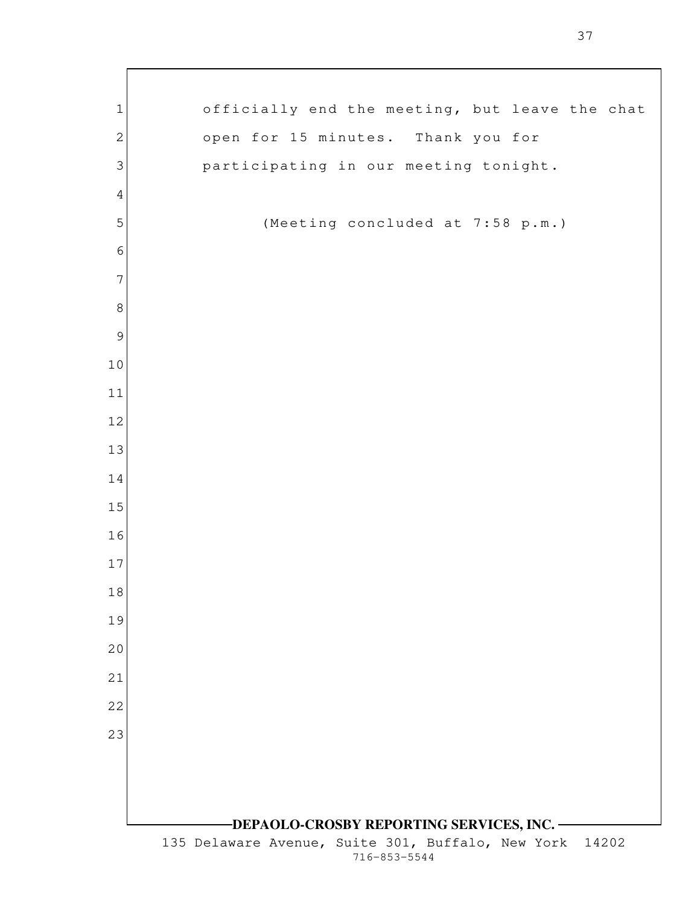| $\mathbf 1$    | officially end the meeting, but leave the chat                             |
|----------------|----------------------------------------------------------------------------|
| $\mathbf{2}$   | open for 15 minutes. Thank you for                                         |
| 3              | participating in our meeting tonight.                                      |
| $\overline{4}$ |                                                                            |
| 5              | (Meeting concluded at 7:58 p.m.)                                           |
| $\sqrt{6}$     |                                                                            |
| $\overline{7}$ |                                                                            |
| $\,8\,$        |                                                                            |
| $\mathcal{G}$  |                                                                            |
| 10             |                                                                            |
| 11             |                                                                            |
| 12             |                                                                            |
| 13             |                                                                            |
| 14             |                                                                            |
| 15             |                                                                            |
| 16             |                                                                            |
| 17             |                                                                            |
| 18             |                                                                            |
| 19             |                                                                            |
| 20             |                                                                            |
| 21             |                                                                            |
| 22             |                                                                            |
| 23             |                                                                            |
|                |                                                                            |
|                |                                                                            |
|                | -DEPAOLO-CROSBY REPORTING SERVICES, INC. –                                 |
|                | 135 Delaware Avenue, Suite 301, Buffalo, New York<br>14202<br>716-853-5544 |